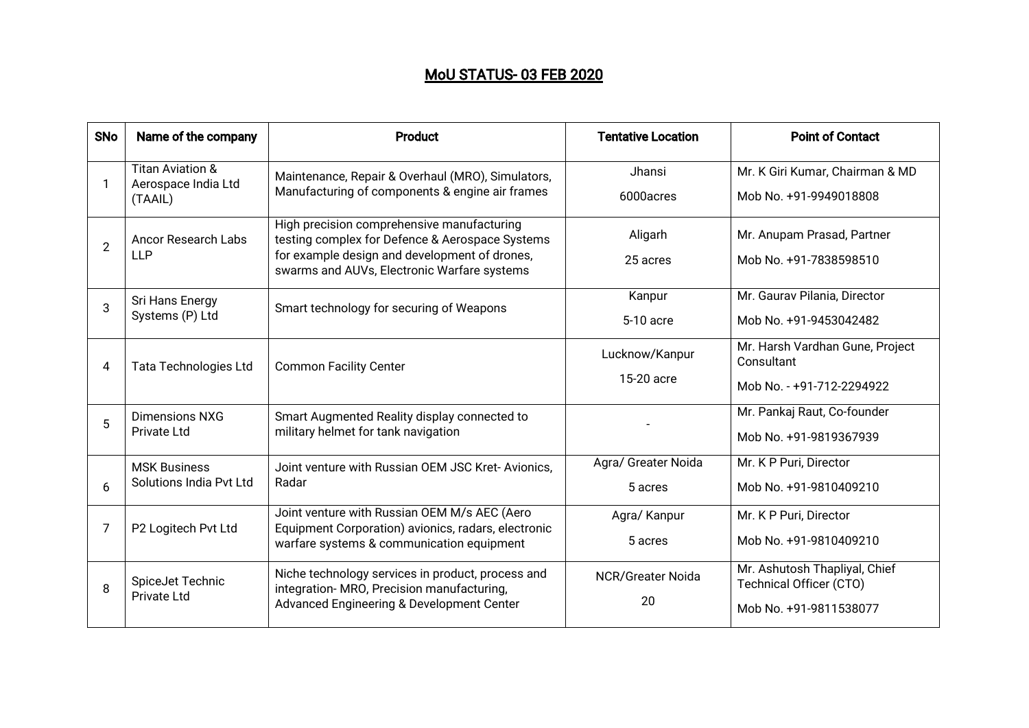## MoU STATUS-03 FEB 2020

| <b>SNo</b> | Name of the company                                           | <b>Product</b>                                                                                                                                                                                | <b>Tentative Location</b> | <b>Point of Contact</b>                                  |
|------------|---------------------------------------------------------------|-----------------------------------------------------------------------------------------------------------------------------------------------------------------------------------------------|---------------------------|----------------------------------------------------------|
|            | <b>Titan Aviation &amp;</b><br>Aerospace India Ltd<br>(TAAIL) | Maintenance, Repair & Overhaul (MRO), Simulators,<br>Manufacturing of components & engine air frames                                                                                          | <b>Jhansi</b>             | Mr. K Giri Kumar, Chairman & MD                          |
|            |                                                               |                                                                                                                                                                                               | 6000acres                 | Mob No. +91-9949018808                                   |
| 2          | <b>Ancor Research Labs</b><br><b>LLP</b>                      | High precision comprehensive manufacturing<br>testing complex for Defence & Aerospace Systems<br>for example design and development of drones,<br>swarms and AUVs, Electronic Warfare systems | Aligarh                   | Mr. Anupam Prasad, Partner                               |
|            |                                                               |                                                                                                                                                                                               | 25 acres                  | Mob No. +91-7838598510                                   |
| 3          | Sri Hans Energy<br>Systems (P) Ltd                            | Smart technology for securing of Weapons                                                                                                                                                      | Kanpur                    | Mr. Gaurav Pilania, Director                             |
|            |                                                               |                                                                                                                                                                                               | 5-10 acre                 | Mob No. +91-9453042482                                   |
| 4          | <b>Tata Technologies Ltd</b>                                  | <b>Common Facility Center</b>                                                                                                                                                                 | Lucknow/Kanpur            | Mr. Harsh Vardhan Gune, Project<br>Consultant            |
|            |                                                               |                                                                                                                                                                                               | 15-20 acre                | Mob No. - +91-712-2294922                                |
| 5          | Dimensions NXG<br>Private Ltd                                 | Smart Augmented Reality display connected to<br>military helmet for tank navigation                                                                                                           |                           | Mr. Pankaj Raut, Co-founder                              |
|            |                                                               |                                                                                                                                                                                               |                           | Mob No. +91-9819367939                                   |
|            | <b>MSK Business</b><br>Solutions India Pvt Ltd                | Joint venture with Russian OEM JSC Kret-Avionics,<br>Radar                                                                                                                                    | Agra/ Greater Noida       | Mr. K P Puri, Director                                   |
| 6          |                                                               |                                                                                                                                                                                               | 5 acres                   | Mob No. +91-9810409210                                   |
| 7          | P2 Logitech Pvt Ltd                                           | Joint venture with Russian OEM M/s AEC (Aero<br>Equipment Corporation) avionics, radars, electronic<br>warfare systems & communication equipment                                              | Agra/ Kanpur              | Mr. K P Puri, Director                                   |
|            |                                                               |                                                                                                                                                                                               | 5 acres                   | Mob No. +91-9810409210                                   |
| 8          | SpiceJet Technic<br><b>Private Ltd</b>                        | Niche technology services in product, process and<br>integration- MRO, Precision manufacturing,<br>Advanced Engineering & Development Center                                                  | <b>NCR/Greater Noida</b>  | Mr. Ashutosh Thapliyal, Chief<br>Technical Officer (CTO) |
|            |                                                               |                                                                                                                                                                                               | 20                        | Mob No. +91-9811538077                                   |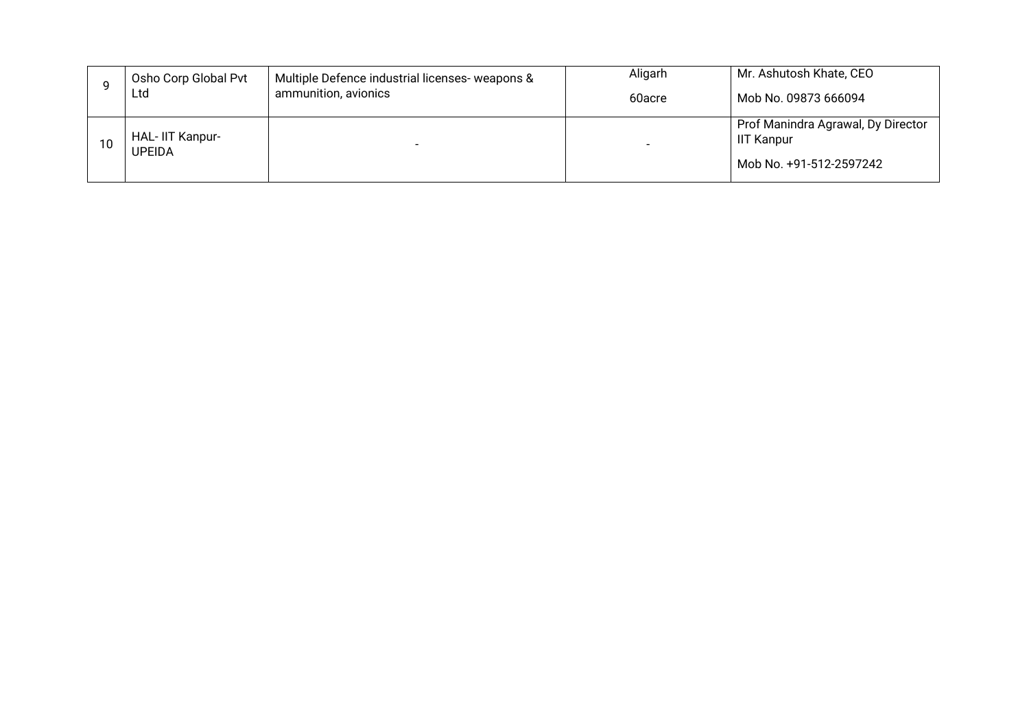|    | Osho Corp Global Pvt      | Multiple Defence industrial licenses- weapons & | Aligarh | Mr. Ashutosh Khate, CEO                                                            |
|----|---------------------------|-------------------------------------------------|---------|------------------------------------------------------------------------------------|
|    | Ltd                       | ammunition, avionics                            | 60acre  | Mob No. 09873 666094                                                               |
| 10 | HAL-IIT Kanpur-<br>UPEIDA |                                                 |         | Prof Manindra Agrawal, Dy Director<br><b>IIT Kanpur</b><br>Mob No. +91-512-2597242 |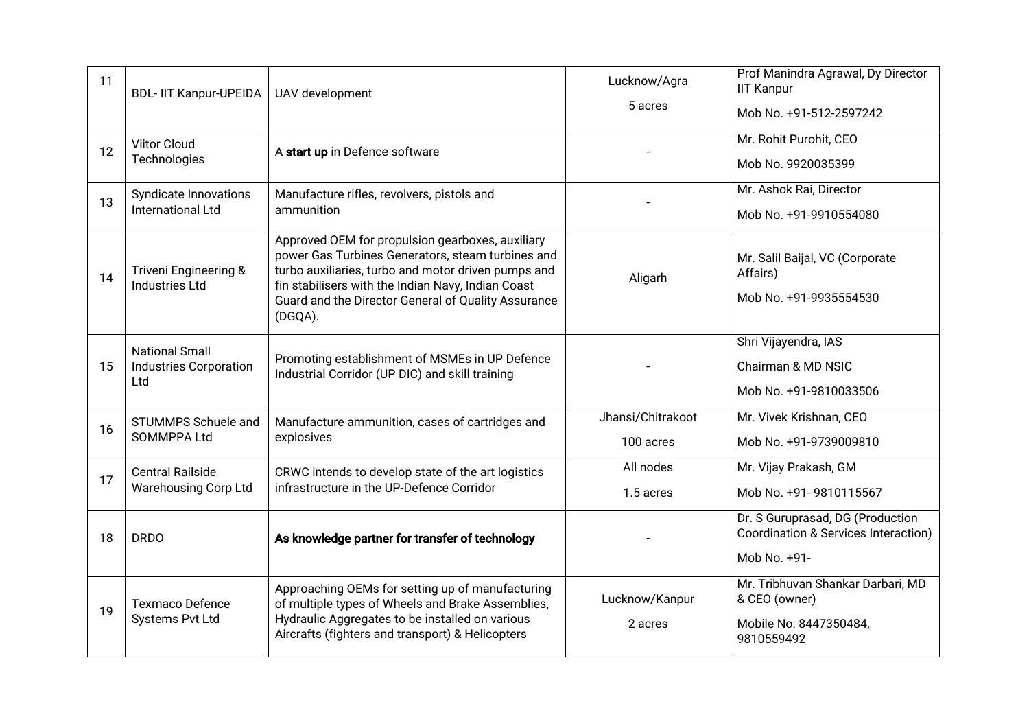| 11 | <b>BDL-IIT Kanpur-UPEIDA</b>                                  | UAV development                                                                                                                                                                                                                                                                      | Lucknow/Agra<br>5 acres        | Prof Manindra Agrawal, Dy Director<br><b>IIT Kanpur</b><br>Mob No. +91-512-2597242         |
|----|---------------------------------------------------------------|--------------------------------------------------------------------------------------------------------------------------------------------------------------------------------------------------------------------------------------------------------------------------------------|--------------------------------|--------------------------------------------------------------------------------------------|
| 12 | <b>Viitor Cloud</b><br>Technologies                           | A start up in Defence software                                                                                                                                                                                                                                                       |                                | Mr. Rohit Purohit, CEO<br>Mob No. 9920035399                                               |
| 13 | Syndicate Innovations<br>International Ltd                    | Manufacture rifles, revolvers, pistols and<br>ammunition                                                                                                                                                                                                                             |                                | Mr. Ashok Rai, Director<br>Mob No. +91-9910554080                                          |
| 14 | <b>Triveni Engineering &amp;</b><br><b>Industries Ltd</b>     | Approved OEM for propulsion gearboxes, auxiliary<br>power Gas Turbines Generators, steam turbines and<br>turbo auxiliaries, turbo and motor driven pumps and<br>fin stabilisers with the Indian Navy, Indian Coast<br>Guard and the Director General of Quality Assurance<br>(DGQA). | Aligarh                        | Mr. Salil Baijal, VC (Corporate<br>Affairs)<br>Mob No. +91-9935554530                      |
| 15 | <b>National Small</b><br><b>Industries Corporation</b><br>Ltd | Promoting establishment of MSMEs in UP Defence<br>Industrial Corridor (UP DIC) and skill training                                                                                                                                                                                    |                                | Shri Vijayendra, IAS<br>Chairman & MD NSIC<br>Mob No. +91-9810033506                       |
| 16 | STUMMPS Schuele and<br>SOMMPPA Ltd                            | Manufacture ammunition, cases of cartridges and<br>explosives                                                                                                                                                                                                                        | Jhansi/Chitrakoot<br>100 acres | Mr. Vivek Krishnan, CEO<br>Mob No. +91-9739009810                                          |
| 17 | <b>Central Railside</b><br><b>Warehousing Corp Ltd</b>        | CRWC intends to develop state of the art logistics<br>infrastructure in the UP-Defence Corridor                                                                                                                                                                                      | All nodes<br>1.5 acres         | Mr. Vijay Prakash, GM<br>Mob No. +91-9810115567                                            |
| 18 | <b>DRDO</b>                                                   | As knowledge partner for transfer of technology                                                                                                                                                                                                                                      |                                | Dr. S Guruprasad, DG (Production<br>Coordination & Services Interaction)<br>Mob No. +91-   |
| 19 | <b>Texmaco Defence</b><br>Systems Pvt Ltd                     | Approaching OEMs for setting up of manufacturing<br>of multiple types of Wheels and Brake Assemblies,<br>Hydraulic Aggregates to be installed on various<br>Aircrafts (fighters and transport) & Helicopters                                                                         | Lucknow/Kanpur<br>2 acres      | Mr. Tribhuvan Shankar Darbari, MD<br>& CEO (owner)<br>Mobile No: 8447350484,<br>9810559492 |